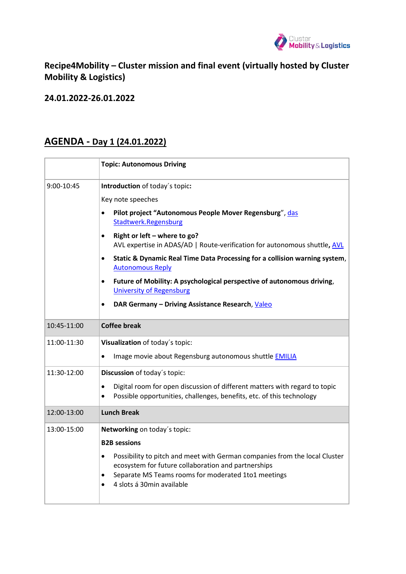

**Recipe4Mobility – Cluster mission and final event (virtually hosted by Cluster Mobility & Logistics)**

**24.01.2022-26.01.2022**

## **AGENDA - Day 1 (24.01.2022)**

|             | <b>Topic: Autonomous Driving</b>                                                                                                                                                                                                   |
|-------------|------------------------------------------------------------------------------------------------------------------------------------------------------------------------------------------------------------------------------------|
| 9:00-10:45  | Introduction of today's topic:                                                                                                                                                                                                     |
|             | Key note speeches                                                                                                                                                                                                                  |
|             | Pilot project "Autonomous People Mover Regensburg", das<br>$\bullet$<br>Stadtwerk.Regensburg                                                                                                                                       |
|             | Right or left – where to go?<br>$\bullet$<br>AVL expertise in ADAS/AD   Route-verification for autonomous shuttle, AVL                                                                                                             |
|             | Static & Dynamic Real Time Data Processing for a collision warning system,<br>$\bullet$<br><b>Autonomous Reply</b>                                                                                                                 |
|             | Future of Mobility: A psychological perspective of autonomous driving,<br>$\bullet$<br><b>University of Regensburg</b>                                                                                                             |
|             | DAR Germany - Driving Assistance Research, Valeo                                                                                                                                                                                   |
| 10:45-11:00 | <b>Coffee break</b>                                                                                                                                                                                                                |
| 11:00-11:30 | Visualization of today's topic:                                                                                                                                                                                                    |
|             | Image movie about Regensburg autonomous shuttle <b>EMILIA</b><br>$\bullet$                                                                                                                                                         |
| 11:30-12:00 | Discussion of today's topic:                                                                                                                                                                                                       |
|             | Digital room for open discussion of different matters with regard to topic<br>$\bullet$<br>Possible opportunities, challenges, benefits, etc. of this technology<br>$\bullet$                                                      |
| 12:00-13:00 | <b>Lunch Break</b>                                                                                                                                                                                                                 |
| 13:00-15:00 | Networking on today's topic:                                                                                                                                                                                                       |
|             | <b>B2B</b> sessions                                                                                                                                                                                                                |
|             | Possibility to pitch and meet with German companies from the local Cluster<br>$\bullet$<br>ecosystem for future collaboration and partnerships<br>Separate MS Teams rooms for moderated 1to1 meetings<br>4 slots á 30min available |